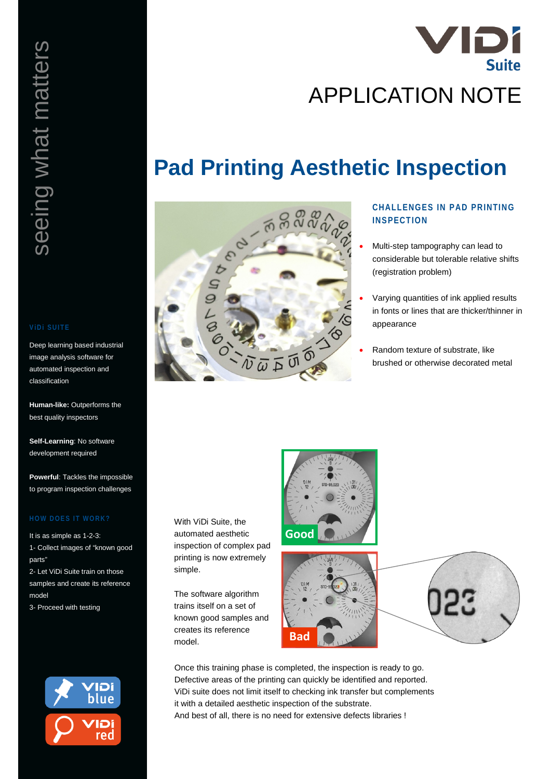

# **Pad Printing Aesthetic Inspection**



## **CHALLENGES IN PAD PRINTING INSPECTION**

- Multi-step tampography can lead to considerable but tolerable relative shifts (registration problem)
- Varying quantities of ink applied results in fonts or lines that are thicker/thinner in appearance
- Random texture of substrate, like brushed or otherwise decorated metal

With ViDi Suite, the automated aesthetic inspection of complex pad printing is now extremely simple.

The software algorithm trains itself on a set of known good samples and creates its reference model.





Once this training phase is completed, the inspection is ready to go. Defective areas of the printing can quickly be identified and reported. ViDi suite does not limit itself to checking ink transfer but complements it with a detailed aesthetic inspection of the substrate. And best of all, there is no need for extensive defects libraries !

Deep learning based industrial image analysis software for automated inspection and classification

**Human-like:** Outperforms the best quality inspectors

**Self-Learning**: No software development required

**Powerful**: Tackles the impossible to program inspection challenges

It is as simple as 1-2-3: 1- Collect images of "known good parts"

2- Let ViDi Suite train on those samples and create its reference model

3- Proceed with testing